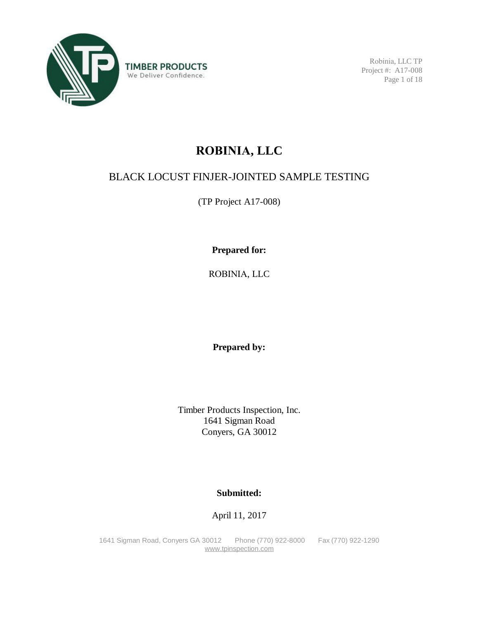

Robinia, LLC TP Project #: A17-008 Page 1 of 18

# **ROBINIA, LLC**

# BLACK LOCUST FINJER-JOINTED SAMPLE TESTING

(TP Project A17-008)

**Prepared for:** 

ROBINIA, LLC

**Prepared by:** 

Timber Products Inspection, Inc. 1641 Sigman Road Conyers, GA 30012

### **Submitted:**

April 11, 2017

1641 Sigman Road, Conyers GA 30012 Phone (770) 922-8000 Fax (770) 922-1290 [www.tpinspection.com](http://www.tpinspection.com)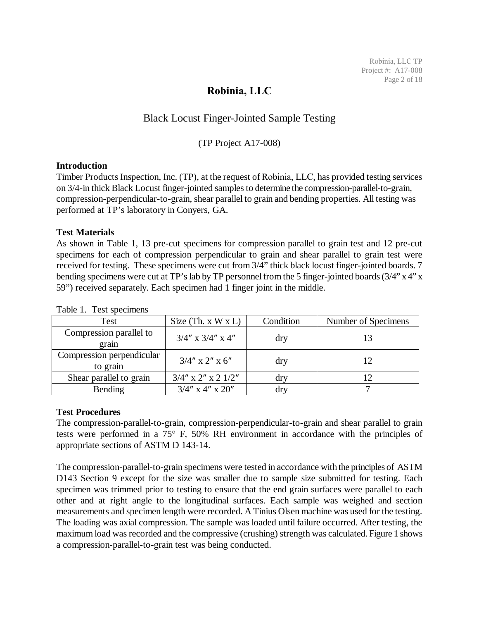### **Robinia, LLC**

### Black Locust Finger-Jointed Sample Testing

#### (TP Project A17-008)

#### **Introduction**

Timber Products Inspection, Inc. (TP), at the request of Robinia, LLC, has provided testing services on 3/4-in thick Black Locust finger-jointed samples to determine the compression-parallel-to-grain, compression-perpendicular-to-grain, shear parallel to grain and bending properties. All testing was performed at TP's laboratory in Conyers, GA.

#### **Test Materials**

As shown in Table 1, 13 pre-cut specimens for compression parallel to grain test and 12 pre-cut specimens for each of compression perpendicular to grain and shear parallel to grain test were received for testing. These specimens were cut from 3/4" thick black locust finger-jointed boards. 7 bending specimens were cut at TP's lab by TP personnel from the 5 finger-jointed boards (3/4" x 4" x 59") received separately. Each specimen had 1 finger joint in the middle.

| Test                                  | Size $(Th. x W x L)$      | Condition      | Number of Specimens |
|---------------------------------------|---------------------------|----------------|---------------------|
| Compression parallel to<br>grain      | $3/4''$ x $3/4''$ x $4''$ | dry            | 13                  |
| Compression perpendicular<br>to grain | $3/4''$ x 2" x 6"         | dry            | 12                  |
| Shear parallel to grain               | $3/4''$ x 2" x 2 $1/2''$  | dry            |                     |
| Bending                               | $3/4$ " x 4" x 20"        | $\frac{dr}{ }$ |                     |

#### Table 1. Test specimens

#### **Test Procedures**

The compression-parallel-to-grain, compression-perpendicular-to-grain and shear parallel to grain tests were performed in a 75° F, 50% RH environment in accordance with the principles of appropriate sections of ASTM D 143-14.

The compression-parallel-to-grain specimens were tested in accordance with the principles of ASTM D143 Section 9 except for the size was smaller due to sample size submitted for testing. Each specimen was trimmed prior to testing to ensure that the end grain surfaces were parallel to each other and at right angle to the longitudinal surfaces. Each sample was weighed and section measurements and specimen length were recorded. A Tinius Olsen machine was used for the testing. The loading was axial compression. The sample was loaded until failure occurred. After testing, the maximum load was recorded and the compressive (crushing) strength was calculated. Figure 1 shows a compression-parallel-to-grain test was being conducted.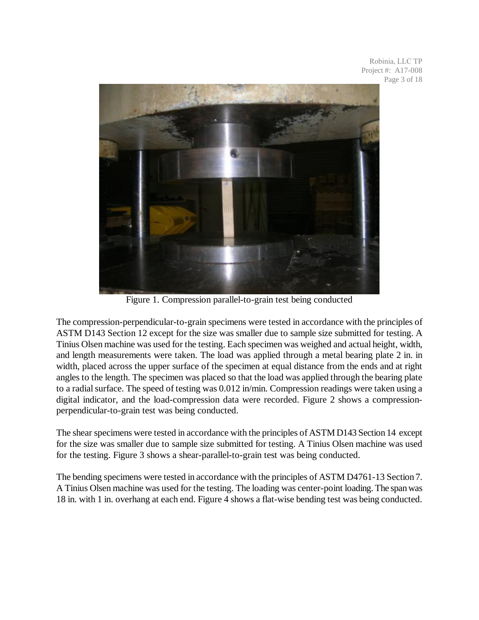Robinia, LLC TP Project #: A17-008 Page 3 of 18



Figure 1. Compression parallel-to-grain test being conducted

The compression-perpendicular-to-grain specimens were tested in accordance with the principles of ASTM D143 Section 12 except for the size was smaller due to sample size submitted for testing. A Tinius Olsen machine was used for the testing. Each specimen was weighed and actual height, width, and length measurements were taken. The load was applied through a metal bearing plate 2 in. in width, placed across the upper surface of the specimen at equal distance from the ends and at right angles to the length. The specimen was placed so that the load was applied through the bearing plate to a radial surface. The speed of testing was 0.012 in/min. Compression readings were taken using a digital indicator, and the load-compression data were recorded. Figure 2 shows a compressionperpendicular-to-grain test was being conducted.

The shear specimens were tested in accordance with the principles of ASTM D143 Section 14 except for the size was smaller due to sample size submitted for testing. A Tinius Olsen machine was used for the testing. Figure 3 shows a shear-parallel-to-grain test was being conducted.

The bending specimens were tested in accordance with the principles of ASTM D4761-13 Section 7. A Tinius Olsen machine was used for the testing. The loading was center-point loading. The spanwas 18 in. with 1 in. overhang at each end. Figure 4 shows a flat-wise bending test was being conducted.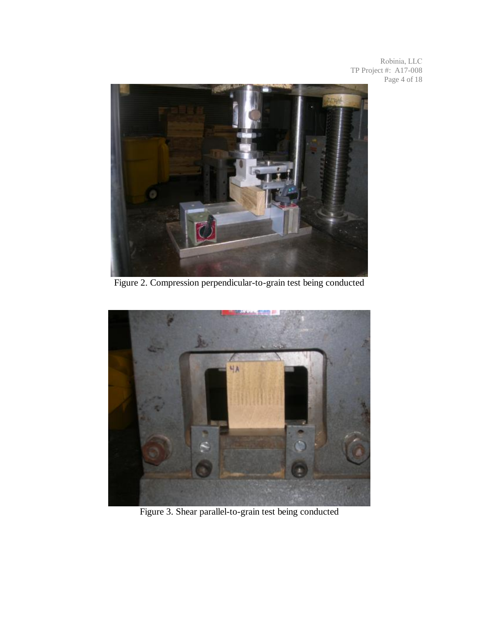Robinia, LLC TP Project #: A17-008 Page 4 of 18



Figure 2. Compression perpendicular-to-grain test being conducted



Figure 3. Shear parallel-to-grain test being conducted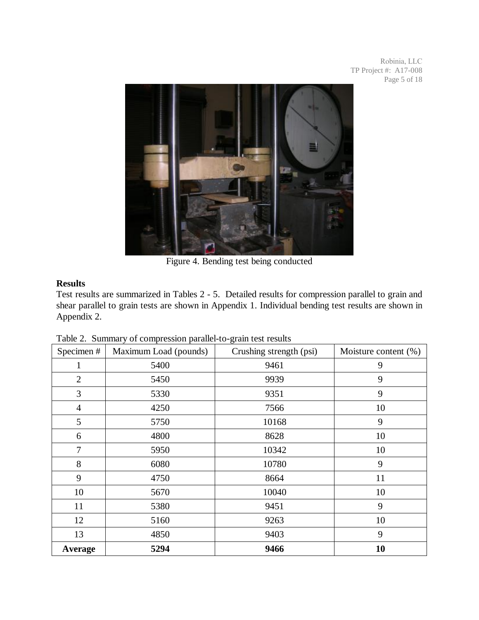Robinia, LLC TP Project #: A17-008 Page 5 of 18



Figure 4. Bending test being conducted

### **Results**

Test results are summarized in Tables 2 - 5. Detailed results for compression parallel to grain and shear parallel to grain tests are shown in Appendix 1. Individual bending test results are shown in Appendix 2.

| Specimen#      | Maximum Load (pounds) | Crushing strength (psi) | Moisture content (%) |
|----------------|-----------------------|-------------------------|----------------------|
|                | 5400                  | 9461                    | 9                    |
| $\overline{2}$ | 5450                  | 9939                    | 9                    |
| 3              | 5330                  | 9351                    | 9                    |
| $\overline{4}$ | 4250                  | 7566                    | 10                   |
| 5              | 5750                  | 10168                   | 9                    |
| 6              | 4800                  | 8628                    | 10                   |
| 7              | 5950                  | 10342                   | 10                   |
| 8              | 6080                  | 10780                   | 9                    |
| 9              | 4750                  | 8664                    | 11                   |
| 10             | 5670                  | 10040                   | 10                   |
| 11             | 5380                  | 9451                    | 9                    |
| 12             | 5160                  | 9263                    | 10                   |
| 13             | 4850                  | 9403                    | 9                    |
| Average        | 5294                  | 9466                    | 10                   |

Table 2. Summary of compression parallel-to-grain test results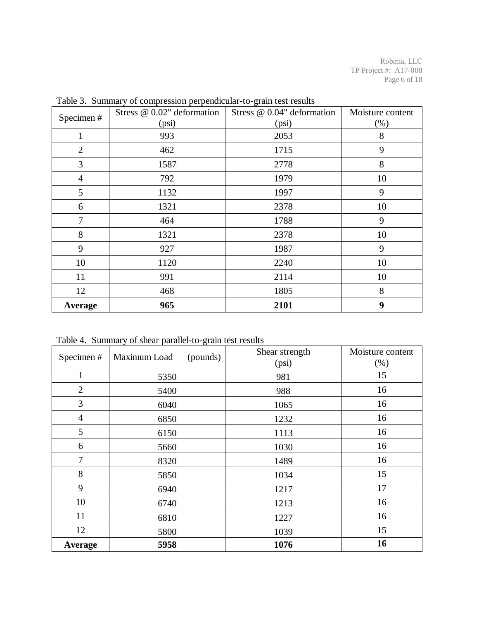| Specimen#      | Stress @ 0.02" deformation | Stress @ 0.04" deformation | Moisture content |
|----------------|----------------------------|----------------------------|------------------|
|                | (psi)                      | (psi)                      | (% )             |
|                | 993                        | 2053                       | 8                |
| $\overline{2}$ | 462                        | 1715                       | 9                |
| 3              | 1587                       | 2778                       | 8                |
| 4              | 792                        | 1979                       | 10               |
| 5              | 1132                       | 1997                       | 9                |
| 6              | 1321                       | 2378                       | 10               |
| 7              | 464                        | 1788                       | 9                |
| 8              | 1321                       | 2378                       | 10               |
| 9              | 927                        | 1987                       | 9                |
| 10             | 1120                       | 2240                       | 10               |
| 11             | 991                        | 2114                       | 10               |
| 12             | 468                        | 1805                       | 8                |
| Average        | 965                        | 2101                       | 9                |

Table 3. Summary of compression perpendicular-to-grain test results

Table 4. Summary of shear parallel-to-grain test results

| Specimen#      | Maximum Load<br>(pounds) | Shear strength<br>(psi) | Moisture content<br>$(\%)$ |
|----------------|--------------------------|-------------------------|----------------------------|
|                | 5350                     | 981                     | 15                         |
| $\overline{2}$ | 5400                     | 988                     | 16                         |
| 3              | 6040                     | 1065                    | 16                         |
| $\overline{4}$ | 6850                     | 1232                    | 16                         |
| 5              | 6150                     | 1113                    | 16                         |
| 6              | 5660                     | 1030                    | 16                         |
| 7              | 8320                     | 1489                    | 16                         |
| 8              | 5850                     | 1034                    | 15                         |
| 9              | 6940                     | 1217                    | 17                         |
| 10             | 6740                     | 1213                    | 16                         |
| 11             | 6810                     | 1227                    | 16                         |
| 12             | 5800                     | 1039                    | 15                         |
| Average        | 5958                     | 1076                    | 16                         |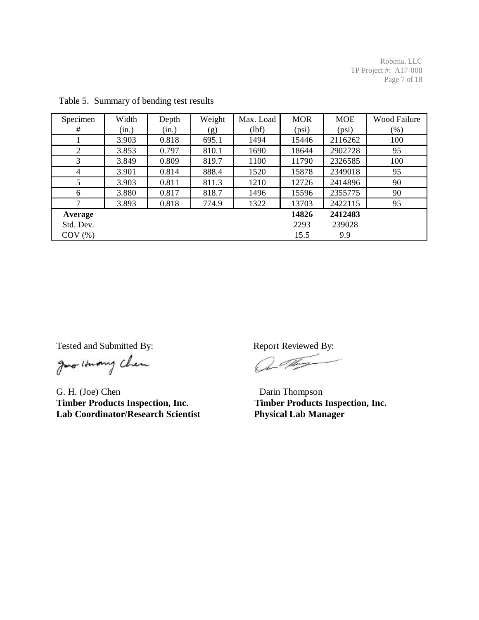Robinia, LLC TP Project #: A17-008 Page 7 of 18

| Specimen       | Width | Depth | Weight | Max. Load | <b>MOR</b> | <b>MOE</b> | Wood Failure |
|----------------|-------|-------|--------|-----------|------------|------------|--------------|
| #              | (in.) | (in.) | (g)    | (lbf)     | (psi)      | (psi)      | (% )         |
|                | 3.903 | 0.818 | 695.1  | 1494      | 15446      | 2116262    | 100          |
| 2              | 3.853 | 0.797 | 810.1  | 1690      | 18644      | 2902728    | 95           |
| 3              | 3.849 | 0.809 | 819.7  | 1100      | 11790      | 2326585    | 100          |
| $\overline{4}$ | 3.901 | 0.814 | 888.4  | 1520      | 15878      | 2349018    | 95           |
| 5              | 3.903 | 0.811 | 811.3  | 1210      | 12726      | 2414896    | 90           |
| 6              | 3.880 | 0.817 | 818.7  | 1496      | 15596      | 2355775    | 90           |
| 7              | 3.893 | 0.818 | 774.9  | 1322      | 13703      | 2422115    | 95           |
| Average        |       |       |        |           | 14826      | 2412483    |              |
| Std. Dev.      |       |       |        |           | 2293       | 239028     |              |
| $COV$ $(\% )$  |       |       |        |           | 15.5       | 9.9        |              |

Table 5. Summary of bending test results

Tested and Submitted By: Report Reviewed By:

Just Humy Chen

G. H. (Joe) Chen Darin Thompson **Timber Products Inspection, Inc. Timber Products Inspection, Inc. Lab Coordinator/Research Scientist Physical Lab Manager**

Or They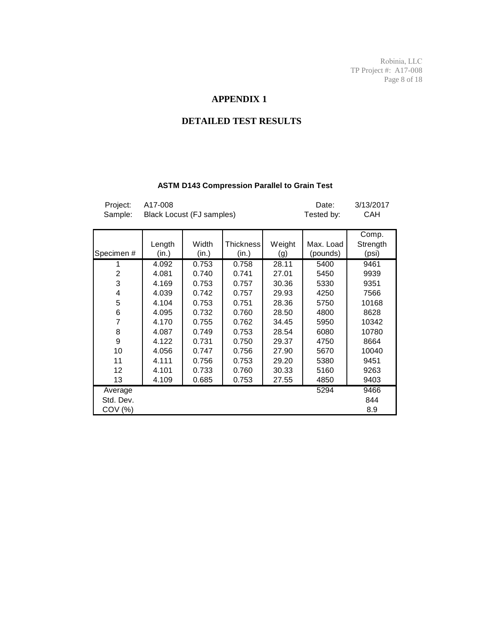Robinia, LLC TP Project #: A17-008 Page 8 of 18

### **APPENDIX 1**

### **DETAILED TEST RESULTS**

#### **ASTM D143 Compression Parallel to Grain Test**

| Project:<br>Sample: | A17-008<br>Black Locust (FJ samples) |       | Date:<br>Tested by: | 3/13/2017<br>CAH |           |          |
|---------------------|--------------------------------------|-------|---------------------|------------------|-----------|----------|
|                     |                                      |       |                     |                  |           | Comp.    |
|                     | Length                               | Width | <b>Thickness</b>    | Weight           | Max. Load | Strength |
| Specimen#           | (in.)                                | (in.) | (in.)               | (g)              | (pounds)  | (psi)    |
| 1                   | 4.092                                | 0.753 | 0.758               | 28.11            | 5400      | 9461     |
| $\overline{2}$      | 4.081                                | 0.740 | 0.741               | 27.01            | 5450      | 9939     |
| 3                   | 4.169                                | 0.753 | 0.757               | 30.36            | 5330      | 9351     |
| $\overline{4}$      | 4.039                                | 0.742 | 0.757               | 29.93            | 4250      | 7566     |
| 5                   | 4.104                                | 0.753 | 0.751               | 28.36            | 5750      | 10168    |
| 6                   | 4.095                                | 0.732 | 0.760               | 28.50            | 4800      | 8628     |
| 7                   | 4.170                                | 0.755 | 0.762               | 34.45            | 5950      | 10342    |
| 8                   | 4.087                                | 0.749 | 0.753               | 28.54            | 6080      | 10780    |
| 9                   | 4.122                                | 0.731 | 0.750               | 29.37            | 4750      | 8664     |
| 10                  | 4.056                                | 0.747 | 0.756               | 27.90            | 5670      | 10040    |
| 11                  | 4.111                                | 0.756 | 0.753               | 29.20            | 5380      | 9451     |
| 12                  | 4.101                                | 0.733 | 0.760               | 30.33            | 5160      | 9263     |
| 13                  | 4.109                                | 0.685 | 0.753               | 27.55            | 4850      | 9403     |
| Average             |                                      |       |                     |                  | 5294      | 9466     |
| Std. Dev.           |                                      |       |                     |                  |           | 844      |
| COV (%)             |                                      |       |                     |                  |           | 8.9      |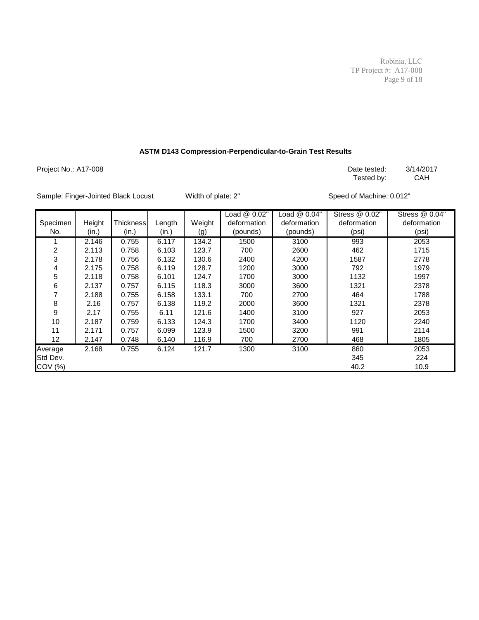Robinia, LLC TP Project #: A17-008 Page 9 of 18

#### **ASTM D143 Compression-Perpendicular-to-Grain Test Results**

Project No.: A17-008 **Date tested:** 3/14/2017

Tested by: CAH

Sample: Finger-Jointed Black Locust Width of plate: 2" Speed of Machine: 0.012"

|                |        |                  |        |        | Load @ 0.02" | Load @ 0.04" | Stress @ 0.02" | Stress @ 0.04" |
|----------------|--------|------------------|--------|--------|--------------|--------------|----------------|----------------|
| Specimen       | Height | <b>Thickness</b> | Length | Weight | deformation  | deformation  | deformation    | deformation    |
| No.            | (in.)  | (in.)            | (in.)  | (g)    | (pounds)     | (pounds)     | (psi)          | (psi)          |
|                | 2.146  | 0.755            | 6.117  | 134.2  | 1500         | 3100         | 993            | 2053           |
| $\overline{2}$ | 2.113  | 0.758            | 6.103  | 123.7  | 700          | 2600         | 462            | 1715           |
| 3              | 2.178  | 0.756            | 6.132  | 130.6  | 2400         | 4200         | 1587           | 2778           |
| 4              | 2.175  | 0.758            | 6.119  | 128.7  | 1200         | 3000         | 792            | 1979           |
| 5              | 2.118  | 0.758            | 6.101  | 124.7  | 1700         | 3000         | 1132           | 1997           |
| 6              | 2.137  | 0.757            | 6.115  | 118.3  | 3000         | 3600         | 1321           | 2378           |
| 7              | 2.188  | 0.755            | 6.158  | 133.1  | 700          | 2700         | 464            | 1788           |
| 8              | 2.16   | 0.757            | 6.138  | 119.2  | 2000         | 3600         | 1321           | 2378           |
| 9              | 2.17   | 0.755            | 6.11   | 121.6  | 1400         | 3100         | 927            | 2053           |
| 10             | 2.187  | 0.759            | 6.133  | 124.3  | 1700         | 3400         | 1120           | 2240           |
| 11             | 2.171  | 0.757            | 6.099  | 123.9  | 1500         | 3200         | 991            | 2114           |
| 12             | 2.147  | 0.748            | 6.140  | 116.9  | 700          | 2700         | 468            | 1805           |
| Average        | 2.168  | 0.755            | 6.124  | 121.7  | 1300         | 3100         | 860            | 2053           |
| Std Dev.       |        |                  |        |        |              |              | 345            | 224            |
| COV (%)        |        |                  |        |        |              |              | 40.2           | 10.9           |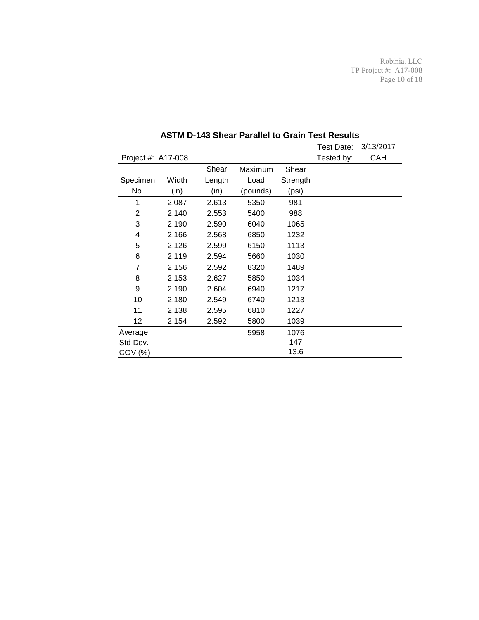Robinia, LLC TP Project #: A17-008 Page 10 of 18

|                    |       |        |          |          | Test Date: | 3/13/2017 |
|--------------------|-------|--------|----------|----------|------------|-----------|
| Project #: A17-008 |       |        |          |          | Tested by: | CAH       |
|                    |       | Shear  | Maximum  | Shear    |            |           |
| Specimen           | Width | Length | Load     | Strength |            |           |
| No.                | (in)  | (in)   | (pounds) | (psi)    |            |           |
| 1                  | 2.087 | 2.613  | 5350     | 981      |            |           |
| 2                  | 2.140 | 2.553  | 5400     | 988      |            |           |
| 3                  | 2.190 | 2.590  | 6040     | 1065     |            |           |
| 4                  | 2.166 | 2.568  | 6850     | 1232     |            |           |
| 5                  | 2.126 | 2.599  | 6150     | 1113     |            |           |
| 6                  | 2.119 | 2.594  | 5660     | 1030     |            |           |
| 7                  | 2.156 | 2.592  | 8320     | 1489     |            |           |
| 8                  | 2.153 | 2.627  | 5850     | 1034     |            |           |
| 9                  | 2.190 | 2.604  | 6940     | 1217     |            |           |
| 10                 | 2.180 | 2.549  | 6740     | 1213     |            |           |
| 11                 | 2.138 | 2.595  | 6810     | 1227     |            |           |
| 12                 | 2.154 | 2.592  | 5800     | 1039     |            |           |
| Average            |       |        | 5958     | 1076     |            |           |
| Std Dev.           |       |        |          | 147      |            |           |
| COV (%)            |       |        |          | 13.6     |            |           |

### **ASTM D-143 Shear Parallel to Grain Test Results**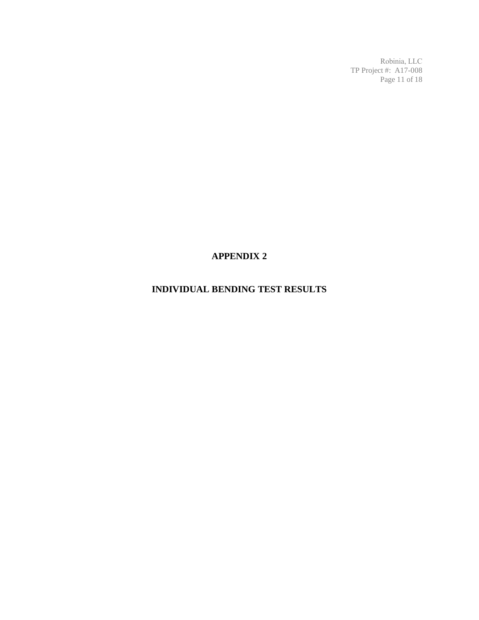Robinia, LLC TP Project #: A17-008 Page 11 of 18

# **APPENDIX 2**

# **INDIVIDUAL BENDING TEST RESULTS**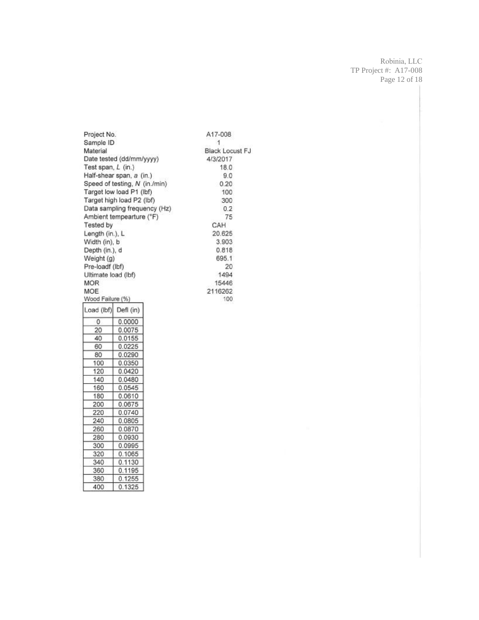Robinia, LLC TP Project #: A17-008 Page 12 of 18

Project No. A17-008 Sample ID  $\mathbf{1}$ Material Black Locust FJ Date tested (dd/mm/yyyy) 4/3/2017 Test span, L (in.) 18.0 Half-shear span, a (in.)  $9.0$ Speed of testing, N (in./min)  $0.20$ Target low load P1 (lbf) 100 Target high load P2 (lbf) 300 Data sampling frequency (Hz)  $0.2$ Ambient tempearture (°F) 75 Tested by CAH Length (in.), L 20.625 Width (in), b 3.903 Depth (in.), d 0.818 Weight (g) 695.1 Pre-loadf (lbf) 20 Ultimate load (lbf) 1494 **MOR** 15446 MOE 2116262 Wood Failure (%) 100 Load (lbf) Defl (in)  $0.0000$  $\overline{0}$  $20$ 0.0075 40 0.0155 60  $0.0225$ 80  $0.0290$ 100 0.0350 120 0.0420 140 0.0480 160 0.0545 180 0.0610 200 0.0675 220 0.0740 240  $0.0805$ 

260

280

300

320

340

360

380

400

0.0870

0.0930

0.0995

0.1065

0.1130

0.1195

0.1255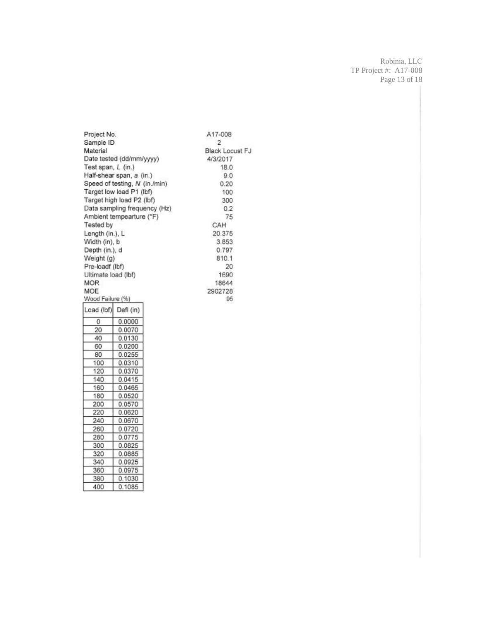Robinia, LLC TP Project #: A17-008 Page 13 of 18

Project No. A17-008 Sample ID  $\overline{2}$ Material Black Locust FJ Date tested (dd/mm/yyyy) 4/3/2017 Test span, L (in.) 18.0 Half-shear span, a (in.)  $9.0$ Speed of testing, N (in./min)  $0.20$ Target low load P1 (lbf) 100 Target high load P2 (lbf) 300 Data sampling frequency (Hz)  $0.2$ Ambient tempearture (°F) 75 Tested by CAH Length (in.), L 20.375 Width (in), b 3.853 Depth (in.), d 0.797 Weight (g) 810.1 Pre-loadf (lbf) 20 Ultimate load (lbf) 1690 **MOR** 18644 **MOE** 2902728 Wood Failure (%) 95 Load (lbf) Defi (in) 0.0000  $\overline{0}$ 0.0070 20 40 0.0130 60  $0.0200$ 80 0.0255 100 0.0310 120 0.0370 140 0.0415 160 0.0465 180 0.0520 200 0.0570 220 0.0620 240 0.0670 260 0.0720

280

300

320

340

360

380

400

0.0775

0.0825

0.0885

0.0925

0.0975

0.1030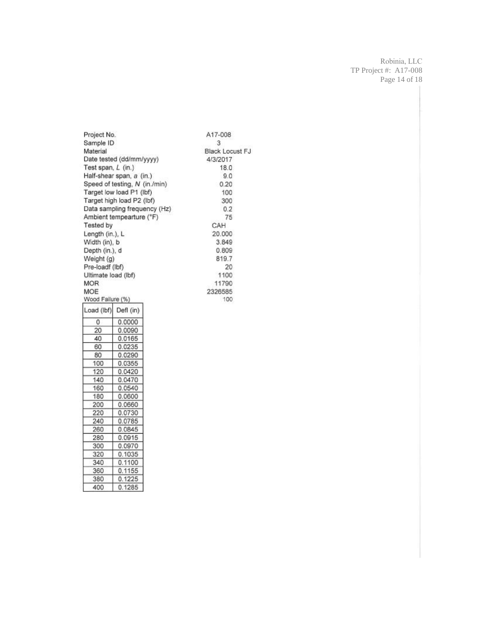Robinia, LLC TP Project #: A17-008 Page 14 of 18

Project No. A17-008 Sample ID  $\overline{3}$ Material Black Locust FJ Date tested (dd/mm/yyyy) 4/3/2017 Test span, L (in.) 18.0 Half-shear span, a (in.)  $9.0$ Speed of testing, N (in./min)  $0.20$ Target low load P1 (lbf) 100 Target high load P2 (lbf) 300 Data sampling frequency (Hz)  $0.2$ Ambient tempearture (°F) 75 Tested by CAH Length (in.), L 20.000 Width (in), b 3.849 Depth (in.), d  $0.809$ Weight (g) 819.7 Pre-loadf (lbf) 20 Ultimate load (lbf) 1100 **MOR** 11790 MOE 2326585 Wood Failure (%) 100 Load (lbf) Defl (in)  $\overline{0}$  $0.0000$ 20 0.0090 0.0165 40 60 0.0235 80 0.0290 100 0.0355 120 0.0420 0.0470 140 160  $0.0540$ 180 0.0600 200 0.0660 220 0.0730 240 0.0785 260 0.0845 280 0.0915

300

320

340

360

380

400

0.0970

0.1035

 $0.1100$ 

0.1155

 $0.1225$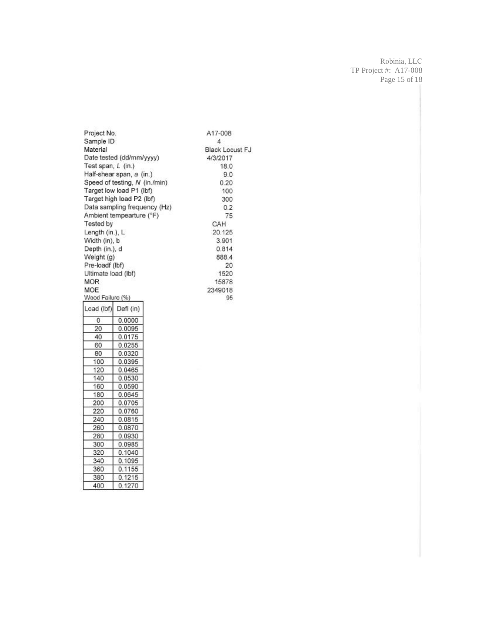Robinia, LLC TP Project #: A17-008 Page 15 of 18

Project No. A17-008 Sample ID  $\sqrt{4}$ Material Black Locust FJ Date tested (dd/mm/yyyy) 4/3/2017 Test span, L (in.) 18.0 Half-shear span, a (in.)  $9.0$ Speed of testing, N (in./min)  $0.20$ Target low load P1 (lbf) 100 Target high load P2 (lbf) 300 Data sampling frequency (Hz)  $0.2$ Ambient tempearture (°F) 75 Tested by CAH Length (in.), L 20.125 Width (in), b 3.901 Depth (in.), d 0.814 Weight (g) 888.4 Pre-loadf (lbf) 20 Ultimate load (lbf) 1520 **MOR** 15878 MOE 2349018 Wood Failure (%) 95 Load (lbf) Defl (in)  $\overline{0}$  $0.0000$ 20 0.0095 0.0175 40 60 0.0255 80 0.0320 100 0.0395 120 0.0465 140 0.0530 0.0590 160 180 0.0645

| 200 | 0.0705 |
|-----|--------|
| 220 | 0.0760 |
| 240 | 0.0815 |
| 260 | 0.0870 |
| 280 | 0.0930 |
| 300 | 0.0985 |
| 320 | 0.1040 |
| 340 | 0.1095 |
| 360 | 0.1155 |
| 380 | 0.1215 |

0.1270

400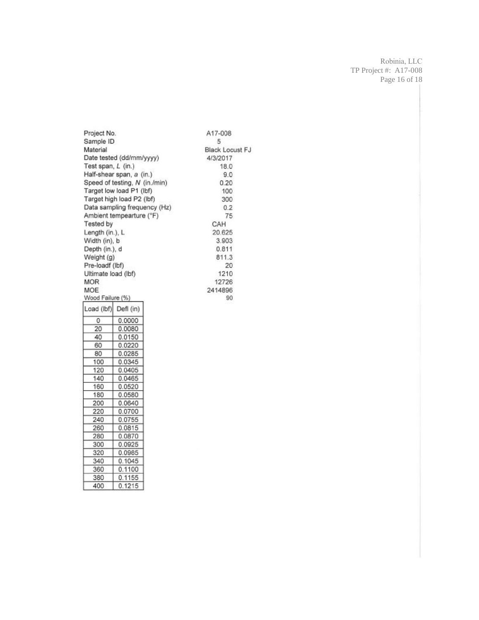Robinia, LLC TP Project #: A17-008 Page 16 of 18

Project No. A17-008 Sample ID 5 Black Locust FJ Material Date tested (dd/mm/yyyy) 4/3/2017 Test span, L (in.) 18.0 Half-shear span, a (in.)  $9.0$ Speed of testing, N (in./min)  $0.20$ Target low load P1 (lbf) 100 Target high load P2 (lbf) 300 Data sampling frequency (Hz)  $0.2$ Ambient tempearture (°F) 75 Tested by CAH Length (in.), L 20.625 Width (in), b 3.903 Depth (in.), d 0.811 Weight (g) 811.3 Pre-loadf (lbf) 20 Ultimate load (lbf) 1210 **MOR** 12726 2414896 **MOE** Wood Failure (%) 90 Load (lbf) Defl (in)  $0.0000$  $\overline{0}$ 20 0.0080 40 0.0150 60  $0.0220$ 80 0.0285 100 0.0345 120 0.0405 140 0.0465 160 0.0520

| 180 | 0.0580 |
|-----|--------|
| 200 | 0.0640 |
| 220 | 0.0700 |
| 240 | 0.0755 |
| 260 | 0.0815 |
| 280 | 0.0870 |
| 300 | 0.0925 |
| 320 | 0.0985 |
| 340 | 0.1045 |
| 360 | 0.1100 |
| 380 | 0.1155 |

0.1215

400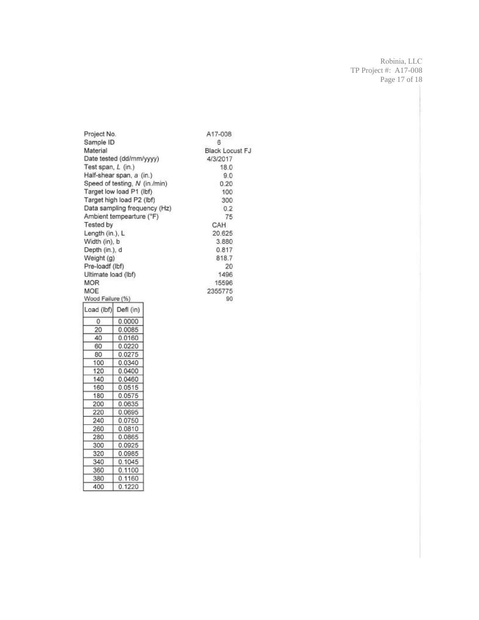Robinia, LLC TP Project #: A17-008 Page 17 of 18

Project No. A17-008 Sample ID 6 Material Black Locust FJ Date tested (dd/mm/yyyy) 4/3/2017 Test span, L (in.) 18.0 Half-shear span, a (in.)  $9.0$ Speed of testing, N (in./min)  $0.20$ Target low load P1 (lbf) 100 Target high load P2 (lbf) 300 Data sampling frequency (Hz)  $0.2$ Ambient tempearture (°F) 75 **Tested by** CAH Length (in.), L 20.625 Width (in), b 3.880 Depth (in.), d 0.817 Weight (g) 818.7 Pre-loadf (lbf) 20 Ultimate load (lbf) 1496 **MOR** 15596 MOE 2355775 Wood Failure (%) 90 Load (lbf) Defl (in)  $\overline{0}$  $0.0000$ 0.0085 20 40 0.0160  $0.0220$ 60 0.0275 80 100 0.0340  $0.0400$ 120 140 0.0460 160  $0.0515$ 180 0.0575 200 0.0635 220 0.0695 240 0.0750

260

280

300

320

340

360

380

400

0.0810

0.0865

0.0925

0.0985

 $0.1045$ 

 $0.1100$ 

0.1160